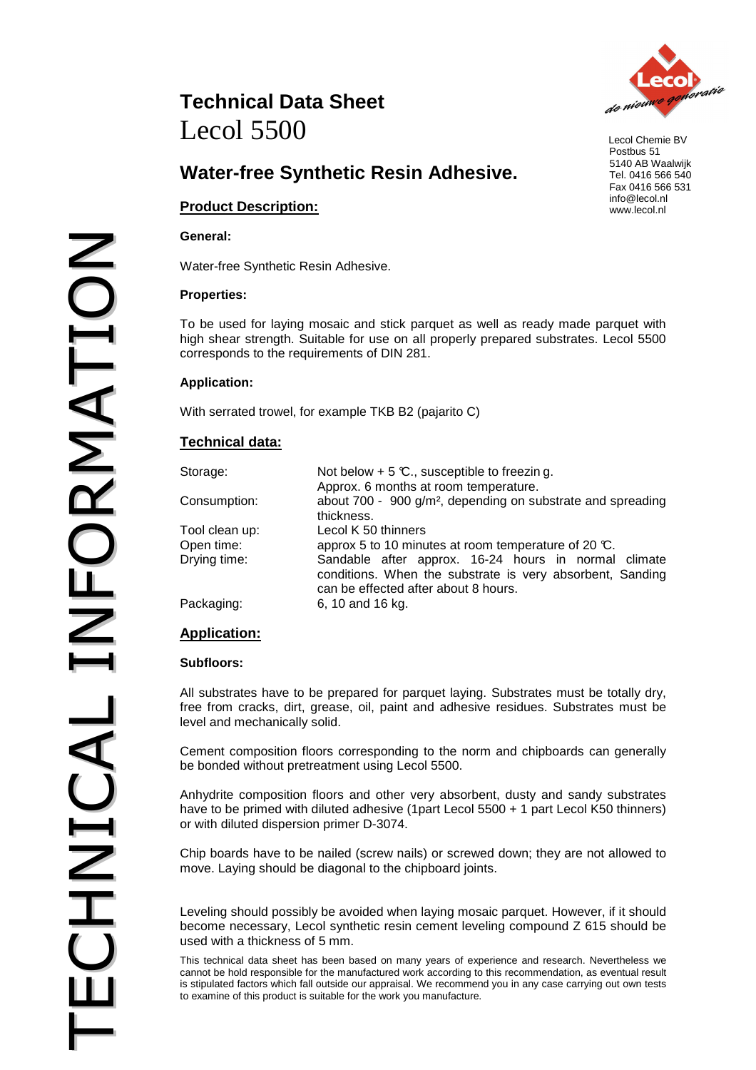# **Water-free Synthetic Resin Adhesive.**

# **Product Description:**

#### **General:**

Water-free Synthetic Resin Adhesive.

#### **Properties:**

To be used for laying mosaic and stick parquet as well as ready made parquet with high shear strength. Suitable for use on all properly prepared substrates. Lecol 5500 corresponds to the requirements of DIN 281.

## **Application:**

With serrated trowel, for example TKB B2 (pajarito C)

# **Technical data:**

| Storage:       | Not below $+5$ °C., susceptible to freezing.                                                      |
|----------------|---------------------------------------------------------------------------------------------------|
|                | Approx. 6 months at room temperature.                                                             |
| Consumption:   | about 700 - 900 g/m <sup>2</sup> , depending on substrate and spreading                           |
|                | thickness.                                                                                        |
| Tool clean up: | Lecol K 50 thinners                                                                               |
| Open time:     | approx 5 to 10 minutes at room temperature of 20 $\mathbb{C}$ .                                   |
| Drying time:   | Sandable after approx. 16-24 hours in normal climate                                              |
|                | conditions. When the substrate is very absorbent, Sanding<br>can be effected after about 8 hours. |
| Packaging:     | 6, 10 and 16 kg.                                                                                  |

# **Application:**

#### **Subfloors:**

All substrates have to be prepared for parquet laying. Substrates must be totally dry, free from cracks, dirt, grease, oil, paint and adhesive residues. Substrates must be level and mechanically solid.

Cement composition floors corresponding to the norm and chipboards can generally be bonded without pretreatment using Lecol 5500.

Anhydrite composition floors and other very absorbent, dusty and sandy substrates have to be primed with diluted adhesive (1part Lecol 5500 + 1 part Lecol K50 thinners) or with diluted dispersion primer D-3074.

Chip boards have to be nailed (screw nails) or screwed down; they are not allowed to move. Laying should be diagonal to the chipboard joints.

Leveling should possibly be avoided when laying mosaic parquet. However, if it should become necessary, Lecol synthetic resin cement leveling compound Z 615 should be used with a thickness of 5 mm.

This technical data sheet has been based on many years of experience and research. Nevertheless we cannot be hold responsible for the manufactured work according to this recommendation, as eventual result is stipulated factors which fall outside our appraisal. We recommend you in any case carrying out own tests to examine of this product is suitable for the work you manufacture.



 Lecol Chemie BV Postbus 51 5140 AB Waalwijk Tel. 0416 566 540 Fax 0416 566 531 info@lecol.nl www.lecol.nl